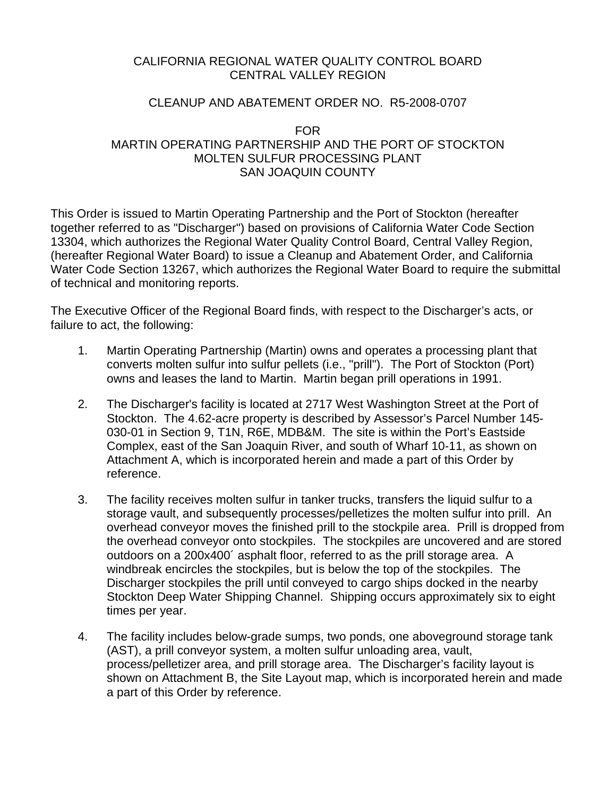### CALIFORNIA REGIONAL WATER QUALITY CONTROL BOARD CENTRAL VALLEY REGION

#### CLEANUP AND ABATEMENT ORDER NO. R5-2008-0707

#### FOR MARTIN OPERATING PARTNERSHIP AND THE PORT OF STOCKTON MOLTEN SULFUR PROCESSING PLANT SAN JOAQUIN COUNTY

This Order is issued to Martin Operating Partnership and the Port of Stockton (hereafter together referred to as "Discharger") based on provisions of California Water Code Section 13304, which authorizes the Regional Water Quality Control Board, Central Valley Region, (hereafter Regional Water Board) to issue a Cleanup and Abatement Order, and California Water Code Section 13267, which authorizes the Regional Water Board to require the submittal of technical and monitoring reports.

The Executive Officer of the Regional Board finds, with respect to the Discharger's acts, or failure to act, the following:

- 1. Martin Operating Partnership (Martin) owns and operates a processing plant that converts molten sulfur into sulfur pellets (i.e., "prill"). The Port of Stockton (Port) owns and leases the land to Martin. Martin began prill operations in 1991.
- 2. The Discharger's facility is located at 2717 West Washington Street at the Port of Stockton. The 4.62-acre property is described by Assessor's Parcel Number 145- 030-01 in Section 9, T1N, R6E, MDB&M. The site is within the Port's Eastside Complex, east of the San Joaquin River, and south of Wharf 10-11, as shown on Attachment A, which is incorporated herein and made a part of this Order by reference.
- 3. The facility receives molten sulfur in tanker trucks, transfers the liquid sulfur to a storage vault, and subsequently processes/pelletizes the molten sulfur into prill. An overhead conveyor moves the finished prill to the stockpile area. Prill is dropped from the overhead conveyor onto stockpiles. The stockpiles are uncovered and are stored outdoors on a 200x400´ asphalt floor, referred to as the prill storage area. A windbreak encircles the stockpiles, but is below the top of the stockpiles. The Discharger stockpiles the prill until conveyed to cargo ships docked in the nearby Stockton Deep Water Shipping Channel. Shipping occurs approximately six to eight times per year.
- 4. The facility includes below-grade sumps, two ponds, one aboveground storage tank (AST), a prill conveyor system, a molten sulfur unloading area, vault, process/pelletizer area, and prill storage area. The Discharger's facility layout is shown on Attachment B, the Site Layout map, which is incorporated herein and made a part of this Order by reference.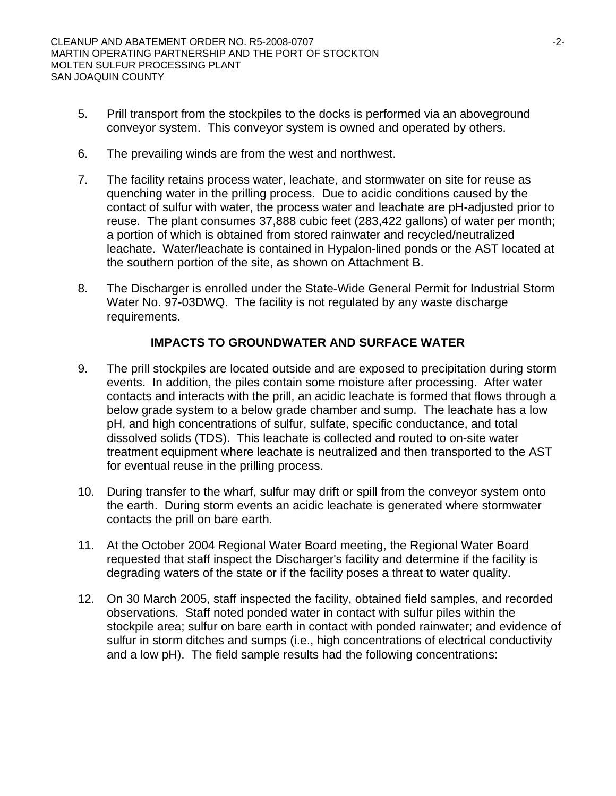- 5. Prill transport from the stockpiles to the docks is performed via an aboveground conveyor system. This conveyor system is owned and operated by others.
- 6. The prevailing winds are from the west and northwest.
- 7. The facility retains process water, leachate, and stormwater on site for reuse as quenching water in the prilling process. Due to acidic conditions caused by the contact of sulfur with water, the process water and leachate are pH-adjusted prior to reuse. The plant consumes 37,888 cubic feet (283,422 gallons) of water per month; a portion of which is obtained from stored rainwater and recycled/neutralized leachate. Water/leachate is contained in Hypalon-lined ponds or the AST located at the southern portion of the site, as shown on Attachment B.
- 8. The Discharger is enrolled under the State-Wide General Permit for Industrial Storm Water No. 97-03DWQ. The facility is not regulated by any waste discharge requirements.

## **IMPACTS TO GROUNDWATER AND SURFACE WATER**

- 9. The prill stockpiles are located outside and are exposed to precipitation during storm events. In addition, the piles contain some moisture after processing. After water contacts and interacts with the prill, an acidic leachate is formed that flows through a below grade system to a below grade chamber and sump. The leachate has a low pH, and high concentrations of sulfur, sulfate, specific conductance, and total dissolved solids (TDS). This leachate is collected and routed to on-site water treatment equipment where leachate is neutralized and then transported to the AST for eventual reuse in the prilling process.
- 10. During transfer to the wharf, sulfur may drift or spill from the conveyor system onto the earth. During storm events an acidic leachate is generated where stormwater contacts the prill on bare earth.
- 11. At the October 2004 Regional Water Board meeting, the Regional Water Board requested that staff inspect the Discharger's facility and determine if the facility is degrading waters of the state or if the facility poses a threat to water quality.
- 12. On 30 March 2005, staff inspected the facility, obtained field samples, and recorded observations. Staff noted ponded water in contact with sulfur piles within the stockpile area; sulfur on bare earth in contact with ponded rainwater; and evidence of sulfur in storm ditches and sumps (i.e., high concentrations of electrical conductivity and a low pH). The field sample results had the following concentrations: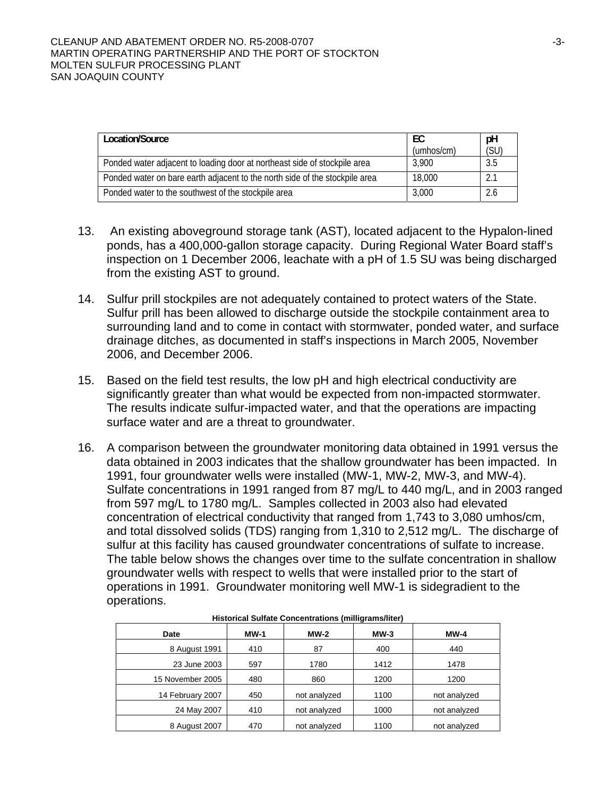| Location/Source                                                             | EC<br>(umbos/cm) | pH<br>(SU) |
|-----------------------------------------------------------------------------|------------------|------------|
| Ponded water adjacent to loading door at northeast side of stockpile area   | 3.900            | 3.5        |
| Ponded water on bare earth adjacent to the north side of the stockpile area | 18.000           | 2.1        |
| Ponded water to the southwest of the stockpile area                         | 3.000            | 2.6        |

- 13. An existing aboveground storage tank (AST), located adjacent to the Hypalon-lined ponds, has a 400,000-gallon storage capacity. During Regional Water Board staff's inspection on 1 December 2006, leachate with a pH of 1.5 SU was being discharged from the existing AST to ground.
- 14. Sulfur prill stockpiles are not adequately contained to protect waters of the State. Sulfur prill has been allowed to discharge outside the stockpile containment area to surrounding land and to come in contact with stormwater, ponded water, and surface drainage ditches, as documented in staff's inspections in March 2005, November 2006, and December 2006.
- 15. Based on the field test results, the low pH and high electrical conductivity are significantly greater than what would be expected from non-impacted stormwater. The results indicate sulfur-impacted water, and that the operations are impacting surface water and are a threat to groundwater.
- 16. A comparison between the groundwater monitoring data obtained in 1991 versus the data obtained in 2003 indicates that the shallow groundwater has been impacted. In 1991, four groundwater wells were installed (MW-1, MW-2, MW-3, and MW-4). Sulfate concentrations in 1991 ranged from 87 mg/L to 440 mg/L, and in 2003 ranged from 597 mg/L to 1780 mg/L. Samples collected in 2003 also had elevated concentration of electrical conductivity that ranged from 1,743 to 3,080 umhos/cm, and total dissolved solids (TDS) ranging from 1,310 to 2,512 mg/L. The discharge of sulfur at this facility has caused groundwater concentrations of sulfate to increase. The table below shows the changes over time to the sulfate concentration in shallow groundwater wells with respect to wells that were installed prior to the start of operations in 1991. Groundwater monitoring well MW-1 is sidegradient to the operations.

| Date             | <b>MW-1</b> | <b>MW-2</b>  | $MW-3$ | <b>MW-4</b>  |
|------------------|-------------|--------------|--------|--------------|
| 8 August 1991    | 410         | 87           | 400    | 440          |
| 23 June 2003     | 597         | 1780         | 1412   | 1478         |
| 15 November 2005 | 480         | 860          | 1200   | 1200         |
| 14 February 2007 | 450         | not analyzed | 1100   | not analyzed |
| 24 May 2007      | 410         | not analyzed | 1000   | not analyzed |
| 8 August 2007    | 470         | not analyzed | 1100   | not analyzed |

| Historical Sulfate Concentrations (milligrams/liter) |  |
|------------------------------------------------------|--|
|                                                      |  |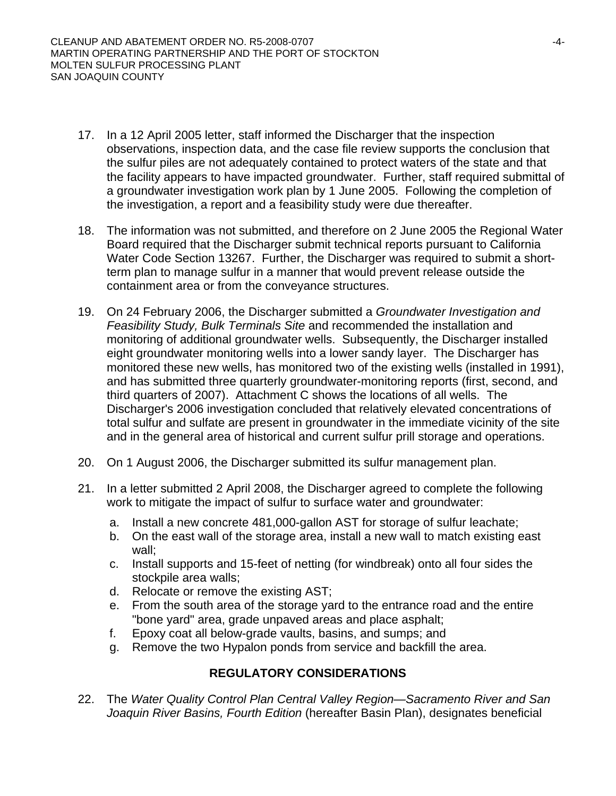- 17. In a 12 April 2005 letter, staff informed the Discharger that the inspection observations, inspection data, and the case file review supports the conclusion that the sulfur piles are not adequately contained to protect waters of the state and that the facility appears to have impacted groundwater. Further, staff required submittal of a groundwater investigation work plan by 1 June 2005. Following the completion of the investigation, a report and a feasibility study were due thereafter.
- 18. The information was not submitted, and therefore on 2 June 2005 the Regional Water Board required that the Discharger submit technical reports pursuant to California Water Code Section 13267. Further, the Discharger was required to submit a shortterm plan to manage sulfur in a manner that would prevent release outside the containment area or from the conveyance structures.
- 19. On 24 February 2006, the Discharger submitted a *Groundwater Investigation and Feasibility Study, Bulk Terminals Site* and recommended the installation and monitoring of additional groundwater wells. Subsequently, the Discharger installed eight groundwater monitoring wells into a lower sandy layer. The Discharger has monitored these new wells, has monitored two of the existing wells (installed in 1991), and has submitted three quarterly groundwater-monitoring reports (first, second, and third quarters of 2007). Attachment C shows the locations of all wells. The Discharger's 2006 investigation concluded that relatively elevated concentrations of total sulfur and sulfate are present in groundwater in the immediate vicinity of the site and in the general area of historical and current sulfur prill storage and operations.
- 20. On 1 August 2006, the Discharger submitted its sulfur management plan.
- 21. In a letter submitted 2 April 2008, the Discharger agreed to complete the following work to mitigate the impact of sulfur to surface water and groundwater:
	- a. Install a new concrete 481,000-gallon AST for storage of sulfur leachate;
	- b. On the east wall of the storage area, install a new wall to match existing east wall;
	- c. Install supports and 15-feet of netting (for windbreak) onto all four sides the stockpile area walls;
	- d. Relocate or remove the existing AST;
	- e. From the south area of the storage yard to the entrance road and the entire "bone yard" area, grade unpaved areas and place asphalt;
	- f. Epoxy coat all below-grade vaults, basins, and sumps; and
	- g. Remove the two Hypalon ponds from service and backfill the area.

# **REGULATORY CONSIDERATIONS**

22. The *Water Quality Control Plan Central Valley Region—Sacramento River and San Joaquin River Basins, Fourth Edition* (hereafter Basin Plan), designates beneficial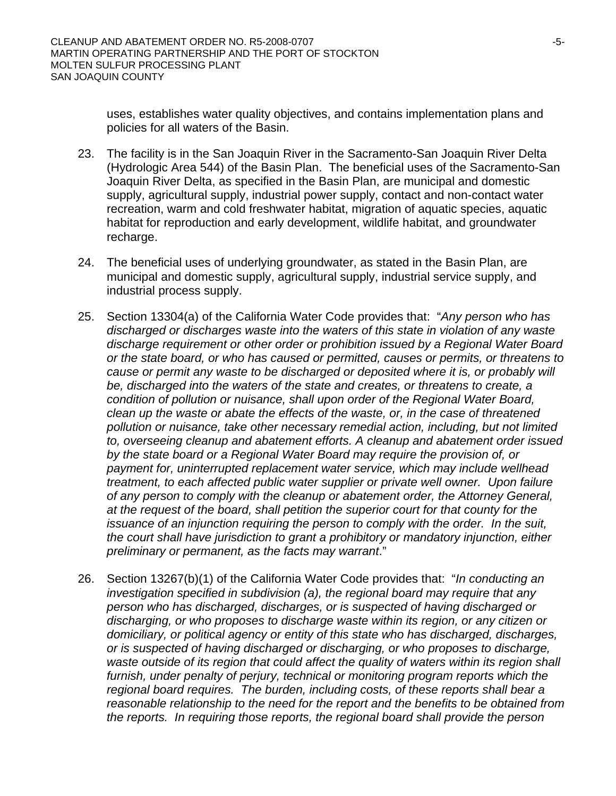uses, establishes water quality objectives, and contains implementation plans and policies for all waters of the Basin.

- 23. The facility is in the San Joaquin River in the Sacramento-San Joaquin River Delta (Hydrologic Area 544) of the Basin Plan. The beneficial uses of the Sacramento-San Joaquin River Delta, as specified in the Basin Plan, are municipal and domestic supply, agricultural supply, industrial power supply, contact and non-contact water recreation, warm and cold freshwater habitat, migration of aquatic species, aquatic habitat for reproduction and early development, wildlife habitat, and groundwater recharge.
- 24. The beneficial uses of underlying groundwater, as stated in the Basin Plan, are municipal and domestic supply, agricultural supply, industrial service supply, and industrial process supply.
- 25. Section 13304(a) of the California Water Code provides that: "*Any person who has discharged or discharges waste into the waters of this state in violation of any waste discharge requirement or other order or prohibition issued by a Regional Water Board or the state board, or who has caused or permitted, causes or permits, or threatens to cause or permit any waste to be discharged or deposited where it is, or probably will be, discharged into the waters of the state and creates, or threatens to create, a condition of pollution or nuisance, shall upon order of the Regional Water Board, clean up the waste or abate the effects of the waste, or, in the case of threatened pollution or nuisance, take other necessary remedial action, including, but not limited to, overseeing cleanup and abatement efforts. A cleanup and abatement order issued by the state board or a Regional Water Board may require the provision of, or payment for, uninterrupted replacement water service, which may include wellhead treatment, to each affected public water supplier or private well owner. Upon failure of any person to comply with the cleanup or abatement order, the Attorney General, at the request of the board, shall petition the superior court for that county for the issuance of an injunction requiring the person to comply with the order. In the suit, the court shall have jurisdiction to grant a prohibitory or mandatory injunction, either preliminary or permanent, as the facts may warrant*."
- 26. Section 13267(b)(1) of the California Water Code provides that: "*In conducting an investigation specified in subdivision (a), the regional board may require that any person who has discharged, discharges, or is suspected of having discharged or discharging, or who proposes to discharge waste within its region, or any citizen or domiciliary, or political agency or entity of this state who has discharged, discharges, or is suspected of having discharged or discharging, or who proposes to discharge, waste outside of its region that could affect the quality of waters within its region shall*  furnish, under penalty of perjury, technical or monitoring program reports which the *regional board requires. The burden, including costs, of these reports shall bear a reasonable relationship to the need for the report and the benefits to be obtained from the reports. In requiring those reports, the regional board shall provide the person*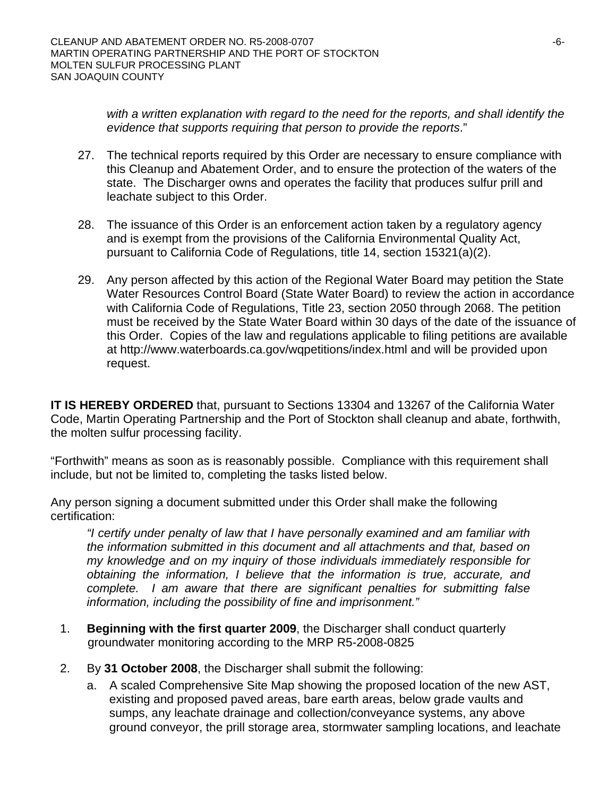*with a written explanation with regard to the need for the reports, and shall identify the evidence that supports requiring that person to provide the reports*."

- 27. The technical reports required by this Order are necessary to ensure compliance with this Cleanup and Abatement Order, and to ensure the protection of the waters of the state. The Discharger owns and operates the facility that produces sulfur prill and leachate subject to this Order.
- 28. The issuance of this Order is an enforcement action taken by a regulatory agency and is exempt from the provisions of the California Environmental Quality Act, pursuant to California Code of Regulations, title 14, section 15321(a)(2).
- 29. Any person affected by this action of the Regional Water Board may petition the State Water Resources Control Board (State Water Board) to review the action in accordance with California Code of Regulations, Title 23, section 2050 through 2068. The petition must be received by the State Water Board within 30 days of the date of the issuance of this Order. Copies of the law and regulations applicable to filing petitions are available at <http://www.waterboards.ca.gov/wqpetitions/index.html>and will be provided upon request.

**IT IS HEREBY ORDERED** that, pursuant to Sections 13304 and 13267 of the California Water Code, Martin Operating Partnership and the Port of Stockton shall cleanup and abate, forthwith, the molten sulfur processing facility.

"Forthwith" means as soon as is reasonably possible. Compliance with this requirement shall include, but not be limited to, completing the tasks listed below.

Any person signing a document submitted under this Order shall make the following certification:

*"I certify under penalty of law that I have personally examined and am familiar with the information submitted in this document and all attachments and that, based on my knowledge and on my inquiry of those individuals immediately responsible for obtaining the information, I believe that the information is true, accurate, and complete. I am aware that there are significant penalties for submitting false information, including the possibility of fine and imprisonment."* 

- 1. **Beginning with the first quarter 2009**, the Discharger shall conduct quarterly groundwater monitoring according to the MRP R5-2008-0825
- 2. By **31 October 2008**, the Discharger shall submit the following:
	- a. A scaled Comprehensive Site Map showing the proposed location of the new AST, existing and proposed paved areas, bare earth areas, below grade vaults and sumps, any leachate drainage and collection/conveyance systems, any above ground conveyor, the prill storage area, stormwater sampling locations, and leachate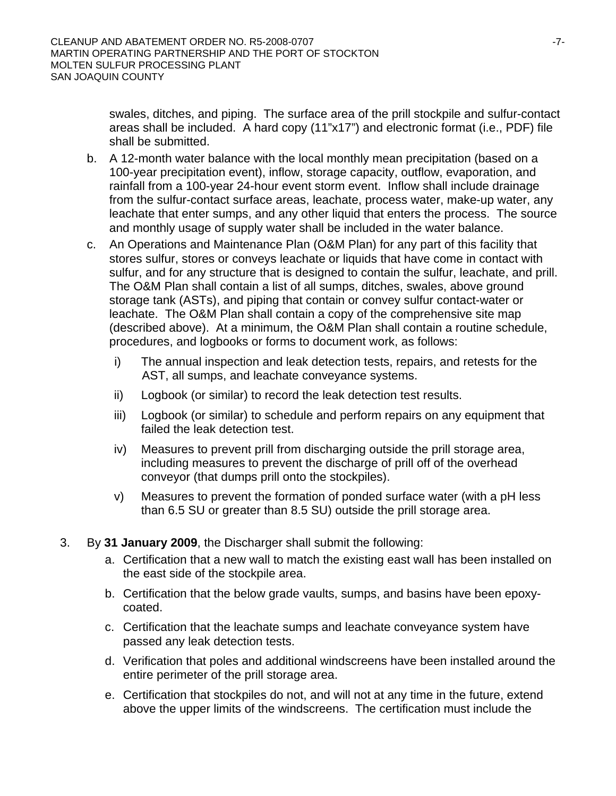swales, ditches, and piping. The surface area of the prill stockpile and sulfur-contact areas shall be included. A hard copy (11"x17") and electronic format (i.e., PDF) file shall be submitted.

- b. A 12-month water balance with the local monthly mean precipitation (based on a 100-year precipitation event), inflow, storage capacity, outflow, evaporation, and rainfall from a 100-year 24-hour event storm event. Inflow shall include drainage from the sulfur-contact surface areas, leachate, process water, make-up water, any leachate that enter sumps, and any other liquid that enters the process. The source and monthly usage of supply water shall be included in the water balance.
- c. An Operations and Maintenance Plan (O&M Plan) for any part of this facility that stores sulfur, stores or conveys leachate or liquids that have come in contact with sulfur, and for any structure that is designed to contain the sulfur, leachate, and prill. The O&M Plan shall contain a list of all sumps, ditches, swales, above ground storage tank (ASTs), and piping that contain or convey sulfur contact-water or leachate. The O&M Plan shall contain a copy of the comprehensive site map (described above). At a minimum, the O&M Plan shall contain a routine schedule, procedures, and logbooks or forms to document work, as follows:
	- i) The annual inspection and leak detection tests, repairs, and retests for the AST, all sumps, and leachate conveyance systems.
	- ii) Logbook (or similar) to record the leak detection test results.
	- iii) Logbook (or similar) to schedule and perform repairs on any equipment that failed the leak detection test.
	- iv) Measures to prevent prill from discharging outside the prill storage area, including measures to prevent the discharge of prill off of the overhead conveyor (that dumps prill onto the stockpiles).
	- v) Measures to prevent the formation of ponded surface water (with a pH less than 6.5 SU or greater than 8.5 SU) outside the prill storage area.
- 3. By **31 January 2009**, the Discharger shall submit the following:
	- a. Certification that a new wall to match the existing east wall has been installed on the east side of the stockpile area.
	- b. Certification that the below grade vaults, sumps, and basins have been epoxycoated.
	- c. Certification that the leachate sumps and leachate conveyance system have passed any leak detection tests.
	- d. Verification that poles and additional windscreens have been installed around the entire perimeter of the prill storage area.
	- e. Certification that stockpiles do not, and will not at any time in the future, extend above the upper limits of the windscreens. The certification must include the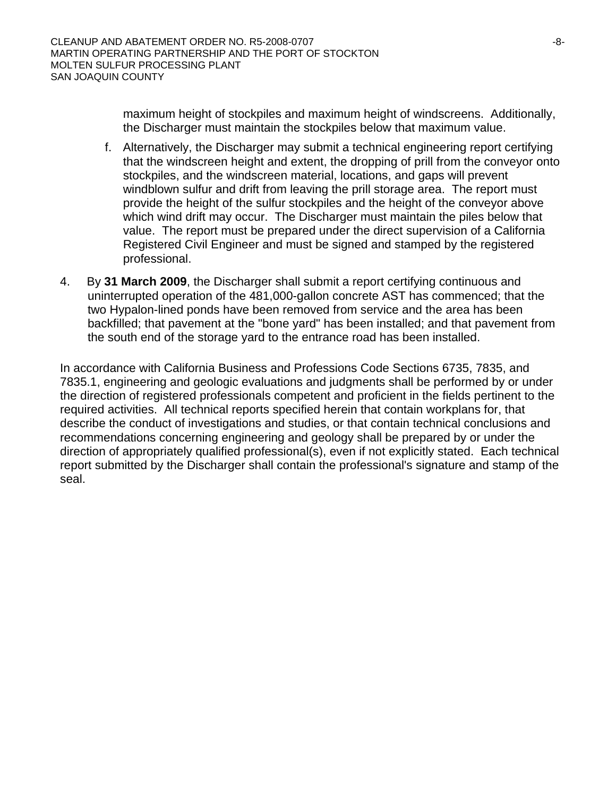maximum height of stockpiles and maximum height of windscreens. Additionally, the Discharger must maintain the stockpiles below that maximum value.

- f. Alternatively, the Discharger may submit a technical engineering report certifying that the windscreen height and extent, the dropping of prill from the conveyor onto stockpiles, and the windscreen material, locations, and gaps will prevent windblown sulfur and drift from leaving the prill storage area. The report must provide the height of the sulfur stockpiles and the height of the conveyor above which wind drift may occur. The Discharger must maintain the piles below that value. The report must be prepared under the direct supervision of a California Registered Civil Engineer and must be signed and stamped by the registered professional.
- 4. By **31 March 2009**, the Discharger shall submit a report certifying continuous and uninterrupted operation of the 481,000-gallon concrete AST has commenced; that the two Hypalon-lined ponds have been removed from service and the area has been backfilled; that pavement at the "bone yard" has been installed; and that pavement from the south end of the storage yard to the entrance road has been installed.

In accordance with California Business and Professions Code Sections 6735, 7835, and 7835.1, engineering and geologic evaluations and judgments shall be performed by or under the direction of registered professionals competent and proficient in the fields pertinent to the required activities. All technical reports specified herein that contain workplans for, that describe the conduct of investigations and studies, or that contain technical conclusions and recommendations concerning engineering and geology shall be prepared by or under the direction of appropriately qualified professional(s), even if not explicitly stated. Each technical report submitted by the Discharger shall contain the professional's signature and stamp of the seal.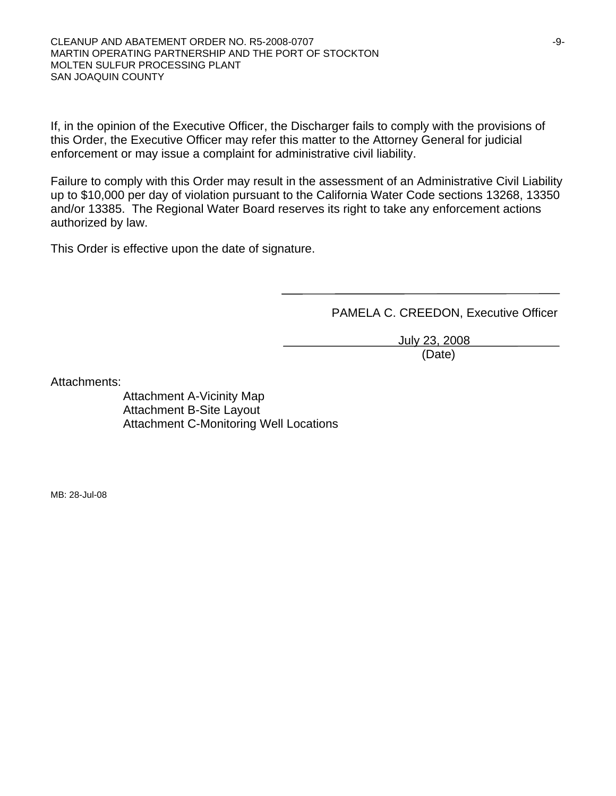If, in the opinion of the Executive Officer, the Discharger fails to comply with the provisions of this Order, the Executive Officer may refer this matter to the Attorney General for judicial enforcement or may issue a complaint for administrative civil liability.

Failure to comply with this Order may result in the assessment of an Administrative Civil Liability up to \$10,000 per day of violation pursuant to the California Water Code sections 13268, 13350 and/or 13385. The Regional Water Board reserves its right to take any enforcement actions authorized by law.

This Order is effective upon the date of signature.

PAMELA C. CREEDON, Executive Officer

 July 23, 2008 (Date)

Attachments:

Attachment A-Vicinity Map Attachment B-Site Layout Attachment C-Monitoring Well Locations

MB: 28-Jul-08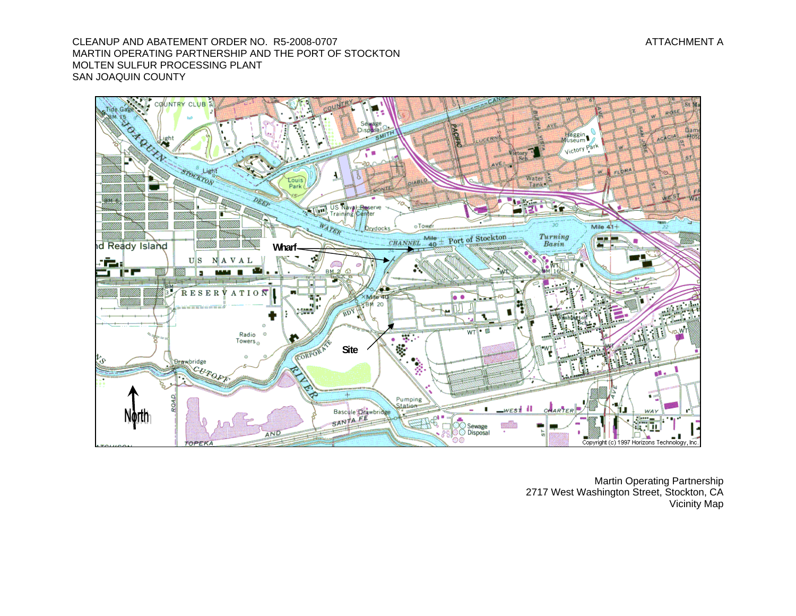CLEANUP AND ABATEMENT ORDER NO. R5-2008-0707 MARTIN OPERATING PARTNERSHIP AND THE PORT OF STOCKTON MOLTEN SULFUR PROCESSING PLANT SAN JOAQUIN COUNTY



Martin Operating Partnership 2717 West Washington Street, Stockton, CA Vicinity Map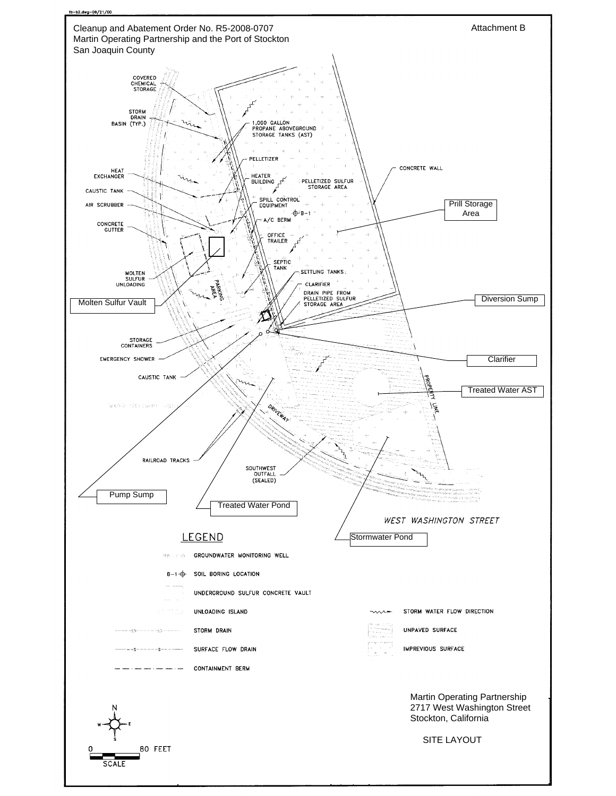